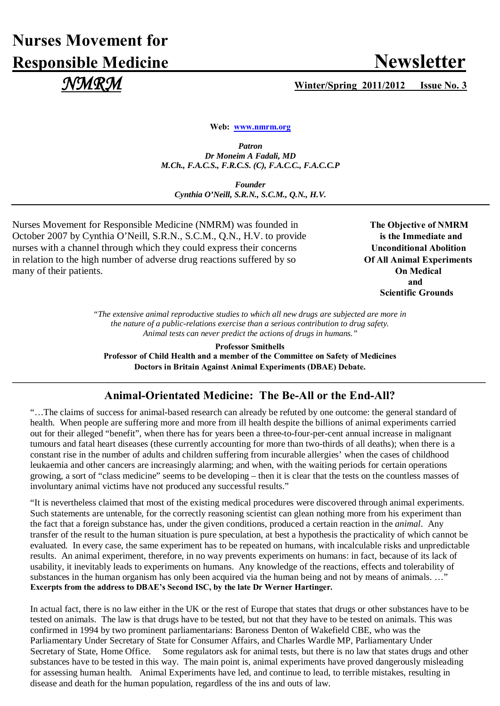# **Nurses Movement for Responsible Medicine Newsletter**

## *NMRM* **Winter/Spring 2011/2012 Issue No. 3**

**Web: [www.nmrm.org](http://www.nmrm.org/)**

*Patron Dr Moneim A Fadali, MD M.Ch., F.A.C.S., F.R.C.S. (C), F.A.C.C., F.A.C.C.P*

*Founder Cynthia O'Neill, S.R.N., S.C.M., Q.N., H.V.*

Nurses Movement for Responsible Medicine (NMRM) was founded in The Objective of NMRM October 2007 by Cynthia O'Neill, S.R.N., S.C.M., Q.N., H.V. to provide **is the Immediate and** nurses with a channel through which they could express their concerns Unconditional Abolition in relation to the high number of adverse drug reactions suffered by so **Of All Animal Experiments** many of their patients. **On Medical**

 **and**  **Scientific Grounds**

> *"The extensive animal reproductive studies to which all new drugs are subjected are more in the nature of a public-relations exercise than a serious contribution to drug safety. Animal tests can never predict the actions of drugs in humans."*

**Professor Smithells Professor of Child Health and a member of the Committee on Safety of Medicines Doctors in Britain Against Animal Experiments (DBAE) Debate.**

### **Animal-Orientated Medicine: The Be-All or the End-All?**

**\_\_\_\_\_\_\_\_\_\_\_\_\_\_\_\_\_\_\_\_\_\_\_\_\_\_\_\_\_\_\_\_\_\_\_\_\_\_\_\_\_\_\_\_\_\_\_\_\_\_\_\_\_\_\_\_\_\_\_\_\_\_\_\_\_\_\_\_\_\_\_\_\_\_\_\_\_\_\_\_\_\_\_\_\_\_\_\_\_\_\_\_\_\_**

"…The claims of success for animal-based research can already be refuted by one outcome: the general standard of health. When people are suffering more and more from ill health despite the billions of animal experiments carried out for their alleged "benefit", when there has for years been a three-to-four-per-cent annual increase in malignant tumours and fatal heart diseases (these currently accounting for more than two-thirds of all deaths); when there is a constant rise in the number of adults and children suffering from incurable allergies' when the cases of childhood leukaemia and other cancers are increasingly alarming; and when, with the waiting periods for certain operations growing, a sort of "class medicine" seems to be developing – then it is clear that the tests on the countless masses of involuntary animal victims have not produced any successful results."

"It is nevertheless claimed that most of the existing medical procedures were discovered through animal experiments. Such statements are untenable, for the correctly reasoning scientist can glean nothing more from his experiment than the fact that a foreign substance has, under the given conditions, produced a certain reaction in the *animal*. Any transfer of the result to the human situation is pure speculation, at best a hypothesis the practicality of which cannot be evaluated. In every case, the same experiment has to be repeated on humans, with incalculable risks and unpredictable results. An animal experiment, therefore, in no way prevents experiments on humans: in fact, because of its lack of usability, it inevitably leads to experiments on humans. Any knowledge of the reactions, effects and tolerability of substances in the human organism has only been acquired via the human being and not by means of animals. ..." **Excerpts from the address to DBAE's Second ISC, by the late Dr Werner Hartinger.**

In actual fact, there is no law either in the UK or the rest of Europe that states that drugs or other substances have to be tested on animals. The law is that drugs have to be tested, but not that they have to be tested on animals. This was confirmed in 1994 by two prominent parliamentarians: Baroness Denton of Wakefield CBE, who was the Parliamentary Under Secretary of State for Consumer Affairs, and Charles Wardle MP, Parliamentary Under Secretary of State, Home Office. Some regulators ask for animal tests, but there is no law that states drugs and other substances have to be tested in this way. The main point is, animal experiments have proved dangerously misleading for assessing human health. Animal Experiments have led, and continue to lead, to terrible mistakes, resulting in disease and death for the human population, regardless of the ins and outs of law.